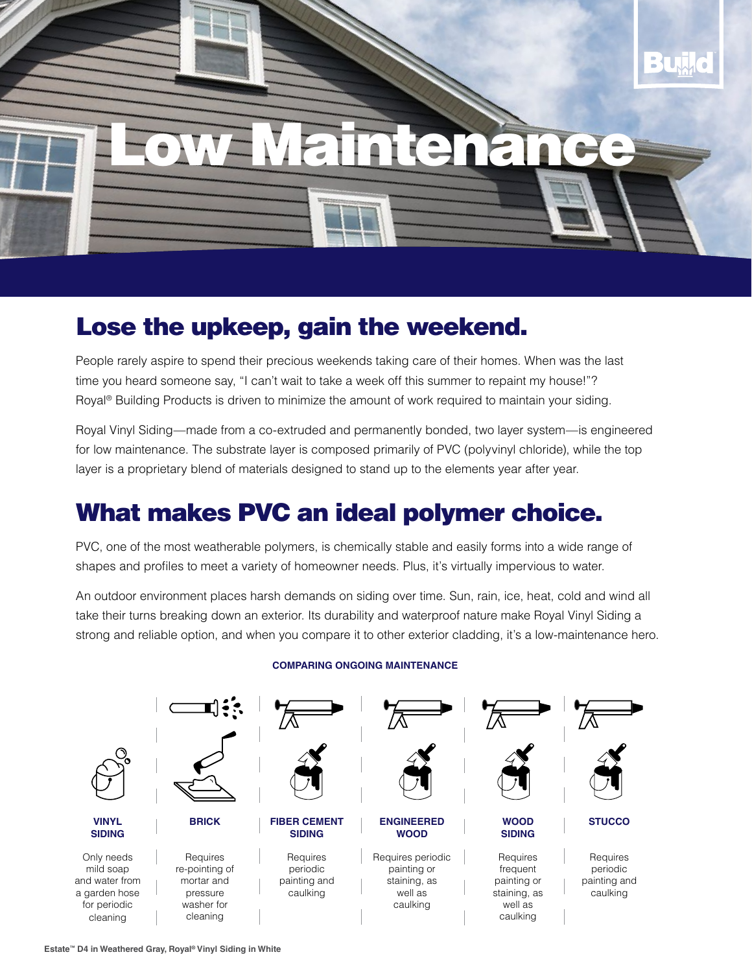

## Lose the upkeep, gain the weekend.

People rarely aspire to spend their precious weekends taking care of their homes. When was the last time you heard someone say, "I can't wait to take a week off this summer to repaint my house!"? Royal® Building Products is driven to minimize the amount of work required to maintain your siding.

Royal Vinyl Siding—made from a co-extruded and permanently bonded, two layer system—is engineered for low maintenance. The substrate layer is composed primarily of PVC (polyvinyl chloride), while the top layer is a proprietary blend of materials designed to stand up to the elements year after year.

## What makes PVC an ideal polymer choice.

PVC, one of the most weatherable polymers, is chemically stable and easily forms into a wide range of shapes and profiles to meet a variety of homeowner needs. Plus, it's virtually impervious to water.

An outdoor environment places harsh demands on siding over time. Sun, rain, ice, heat, cold and wind all take their turns breaking down an exterior. Its durability and waterproof nature make Royal Vinyl Siding a strong and reliable option, and when you compare it to other exterior cladding, it's a low-maintenance hero.



## **COMPARING ONGOING MAINTENANCE**